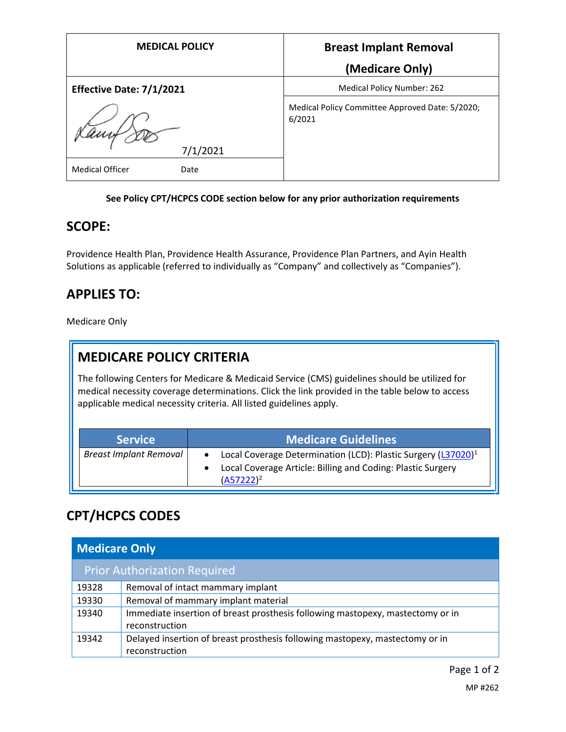| <b>MEDICAL POLICY</b>          | <b>Breast Implant Removal</b>                             |
|--------------------------------|-----------------------------------------------------------|
|                                | (Medicare Only)                                           |
| Effective Date: 7/1/2021       | Medical Policy Number: 262                                |
| 7/1/2021                       | Medical Policy Committee Approved Date: 5/2020;<br>6/2021 |
| <b>Medical Officer</b><br>Date |                                                           |

#### **See Policy CPT/HCPCS CODE section below for any prior authorization requirements**

#### **SCOPE:**

Providence Health Plan, Providence Health Assurance, Providence Plan Partners, and Ayin Health Solutions as applicable (referred to individually as "Company" and collectively as "Companies").

### **APPLIES TO:**

Medicare Only

### **MEDICARE POLICY CRITERIA**

The following Centers for Medicare & Medicaid Service (CMS) guidelines should be utilized for medical necessity coverage determinations. Click the link provided in the table below to access applicable medical necessity criteria. All listed guidelines apply.

| <b>Service</b>                | <b>Medicare Guidelines</b>                                                                                                                               |
|-------------------------------|----------------------------------------------------------------------------------------------------------------------------------------------------------|
| <b>Breast Implant Removal</b> | Local Coverage Determination (LCD): Plastic Surgery (L37020) <sup>1</sup><br>Local Coverage Article: Billing and Coding: Plastic Surgery<br>$(A57222)^2$ |

# **CPT/HCPCS CODES**

| <b>Medicare Only</b>                |                                                                                                  |  |
|-------------------------------------|--------------------------------------------------------------------------------------------------|--|
| <b>Prior Authorization Required</b> |                                                                                                  |  |
| 19328                               | Removal of intact mammary implant                                                                |  |
| 19330                               | Removal of mammary implant material                                                              |  |
| 19340                               | Immediate insertion of breast prosthesis following mastopexy, mastectomy or in<br>reconstruction |  |
| 19342                               | Delayed insertion of breast prosthesis following mastopexy, mastectomy or in<br>reconstruction   |  |